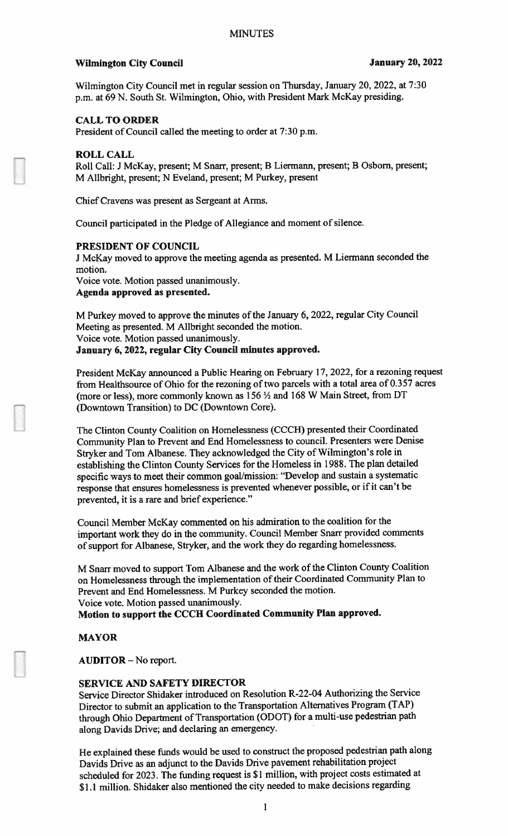## Wilmington City Council **Vertex 20, 2022**

Wilmington City Council met in regular session on Thursday, January 20, 2022, at 7:30 p.m. at <sup>69</sup> N. South St. Wilmington, Ohio. with President Mark McKay presiding.

## CALL TO ORDER

President of Council called the meeting to order at 7:30 p.m.

### ROLL CALL

Roll Call: <sup>I</sup> McKay, present; <sup>M</sup> Snarr. present; <sup>B</sup> Liermann, present; <sup>B</sup> Osborn, present; M Allbright, present; N Eveland, present; M Purkey, present

Chief Cravens was presen<sup>t</sup> as Sergeant at Arms.

Council participated in the Pledge of Allegiance and moment of silence.

### PRESIDENT OF COUNCIL

<sup>J</sup> McKay moved to approve the meeting agenda as presented. <sup>M</sup> Liermann seconded the motion.

Voice vote. Motion passed unanimously. Agenda approved as presented.

M Purkey moved to approve the minutes of the January 6, 2022, regular City Council Meeting as presented. <sup>M</sup> Allbright seconded the motion. Voice vote. Motion passed unanimously. January 6, 2022, regular City Council minutes approved.

President McKay announced <sup>a</sup> Public Hearing on February 17, 2022, for <sup>a</sup> rezoning reques<sup>t</sup> from Healthsource of Ohio for the rezoning of two parcels with <sup>a</sup> total area of 0.357 acres (more or less), more commonly known as <sup>156</sup> <sup>½</sup> and <sup>168</sup> <sup>W</sup> Main Street, from DT (Downtown Transition) to DC (Downtown Core).

The Clinton County Coalition on Homelessness (CCCH) presented their Coordinated Community Plan to Prevent and End Homelessness to council. Presenters were Denise Stryker and Tom Albanese. They acknowledged the City of Wilmington's role in establishing the Clinton County Services for the Homeless in 988. The <sup>p</sup>lan detailed specific ways to meet their common goal/mission: "Develop and sustain <sup>a</sup> systematic response that ensures homelessness is prevented whenever possible, or if it can't be prevented, it is <sup>a</sup> rare and brief experience."

Council Member McKay commented on his admiration to the coalition for the important work they do in the community. Council Member Snarr provided comments of suppor<sup>t</sup> for Albanese, Stryker, and the work they do regarding homelessness.

M Snarr moved to suppor<sup>t</sup> Tom Albanese and the work of the Clinton County Coalition on Homelessness through the implementation of their Coordinated Community Plan to Prevent and End Homelessness. <sup>M</sup> Purkey seconded the motion. Voice vote. Motion passed unanimously.

Motion to suppor<sup>t</sup> the CCCH Coordinated Community Plan approved.

# MAYOR

AUDITOR - No report.

## SERVICE AND SAFETY DIRECTOR

Service Director Shidaker introduced on Resolution R-22-04 Authorizing the Service Director to submit an application to the Transportation Alternatives Program (TAP) through Ohio Department of Transportation (ODOT) for <sup>a</sup> multi-use pedestrian path along Davids Drive; and declaring an emergency.

He explained these funds would be used to construct the propose<sup>d</sup> pedestrian path along Davids Drive as an adjunct to the Davids Drive pavemen<sup>t</sup> rehabilitation project scheduled for 2023. The funding reques<sup>t</sup> is \$1 million, with project costs estimated at <sup>S</sup> 1.1 million. Shidaker also mentioned the city needed to make decisions regarding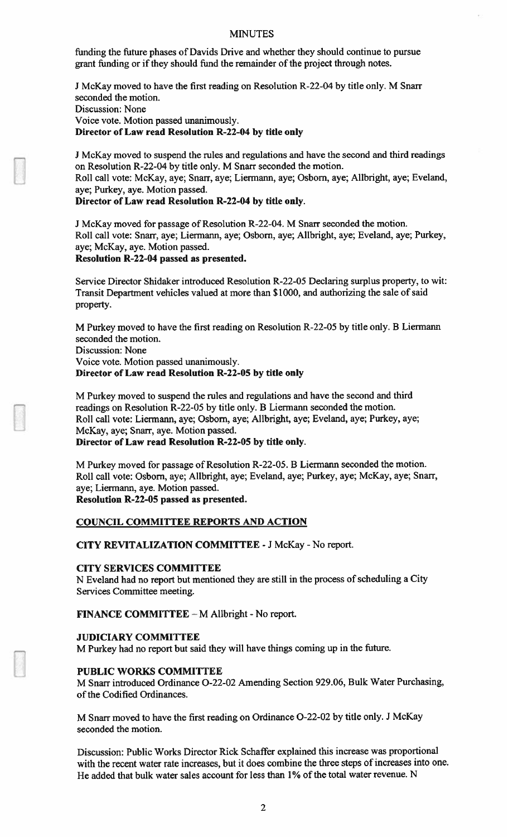### MINUTES

funding the future phases of Davids Drive and whether they should continue to pursue grant funding or if they should fund the remainder of the project through notes.

<sup>J</sup> McKay moved to have the first reading on Resolution R-22-04 by title only. M Snarr seconded the motion. Discussion: None Voice vote. Motion passed unanimously. Director of Law read Resolution R-22-04 by title only

<sup>J</sup> McKay moved to suspend the rules and regulations and have the second and third readings on Resolution R-22-04 by title only. M Snarr seconded the motion. Roll call vote: McKay, aye; Snarr, aye; Liermann, aye; Osbom, aye; Alibright, aye; Eveland, aye; Purkey, aye. Motion passed.

Director of Law read Resolution R-22-04 by title only.

<sup>J</sup> McKay moved for passage of Resolution R-22-04. M Snarr seconded the motion. Roll call vote: Snarr, aye; Liermann, aye; Osbom, aye; Allbright, aye; Eveland, aye; Purkey, aye; McKay, aye. Motion passed. Resolution R-22-04 passed as presented.

Service Director Shidaker introduced Resolution R-22-05 Declaring surplus property, to wit: Transit Department vehicles valued at more than \$1000, and authorizing the sale of said property.

M Purkey moved to have the first reading on Resolution R-22-05 by title only. B Liermann seconded the motion.

Discussion: None

Voice vote. Motion passed unanimously. Director of Law read Resolution R-22-05 by title only

M Purkey moved to suspend the mles and regulations and have the second and third readings on Resolution R-22-05 by title only. B Liermann seconded the motion. Roll call vole: Liermann, aye; Osborn, aye; Allbright, aye; Eveland, aye; Purkey, aye; McKay, aye; Snarr, aye. Motion passed. Director of Law read Resolution R-22-05 by title only.

M Purkey moved for passage of Resolution R-22-05. B Liermann seconded the motion.

Roll call vote: Osbom, aye; Allbright, aye; Eveland, aye; Purkey, aye; McKay, aye; Snarr, aye; Liermann, aye. Motion passed.

Resolution R-22-O5 passed as presented.

### COUNCIL COMMITTEE REPORTS AND ACTION

CITY REVITALIZATION COMMITTEE -J McKay - No report.

# CITY SERVICES COMMITTEE

N Eveland had no report but mentioned they are still in the process of scheduling a City Services Committee meeting.

**FINANCE COMMITTEE**  $-M$  Allbright - No report.

### JUDICIARY COMMITTEE

M Purkey had no report but said they will have things coming up in the future.

### PUBLIC WORKS COMMITTEE

M Snarr introduced Ordinance 0-22-02 Amending Section 929.06, Bulk Water Purchasing, of the Codified Ordinances.

M Snarr moved to have the first reading on Ordinance 0-22-02 by title only. <sup>J</sup> McKay seconded the motion.

Discussion: Public Works Director Rick Schaffer explained this increase was proportional with the recent water rate increases, but it does combine the three steps of increases into one. He added that bulk water sales account for less than 1% of the total water revenue. N